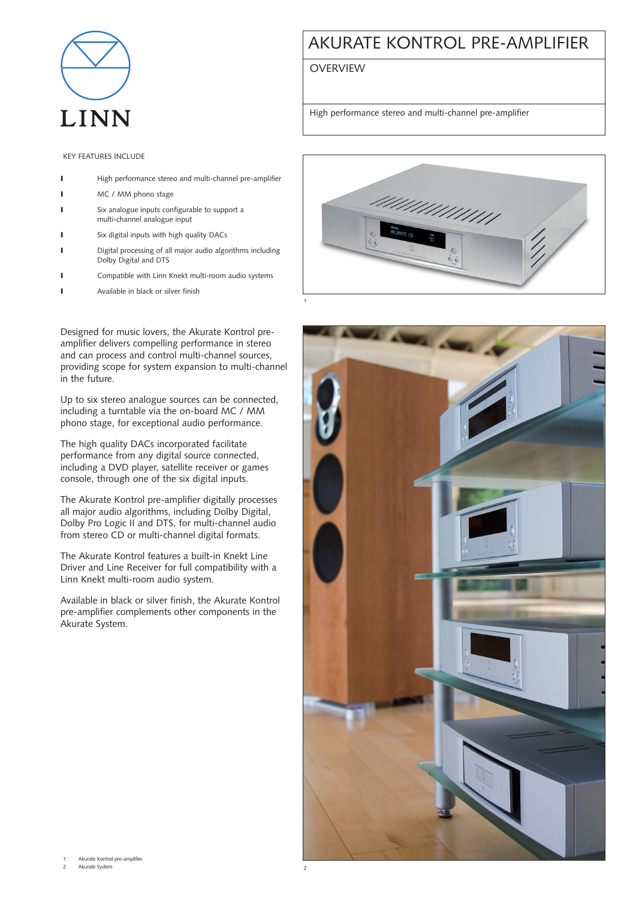

## AKURATE KONTROL PRE-AMPLIFIER

**OVERVIEW** 

High performance stereo and multi-channel pre-amplifier

KEY FEATURES INCLUDE

- **I** High performance stereo and multi-channel pre-amplifier
- I MC / MM phono stage
- Six analogue inputs configurable to support a multi-channel analogue input
- **I** Six digital inputs with high quality DACs
- ❙ Digital processing of all major audio algorithms including Dolby Digital and DTS
- ❙ Compatible with Linn Knekt multi-room audio systems
- **I** Available in black or silver finish

Designed for music lovers, the Akurate Kontrol preamplifier delivers compelling performance in stereo and can process and control multi-channel sources, providing scope for system expansion to multi-channel in the future.

Up to six stereo analogue sources can be connected, including a turntable via the on-board MC / MM phono stage, for exceptional audio performance.

The high quality DACs incorporated facilitate performance from any digital source connected, including a DVD player, satellite receiver or games console, through one of the six digital inputs.

The Akurate Kontrol pre-amplifier digitally processes all major audio algorithms, including Dolby Digital, Dolby Pro Logic II and DTS, for multi-channel audio from stereo CD or multi-channel digital formats.

The Akurate Kontrol features a built-in Knekt Line Driver and Line Receiver for full compatibility with a Linn Knekt multi-room audio system.

Available in black or silver finish, the Akurate Kontrol pre-amplifier complements other components in the Akurate System.